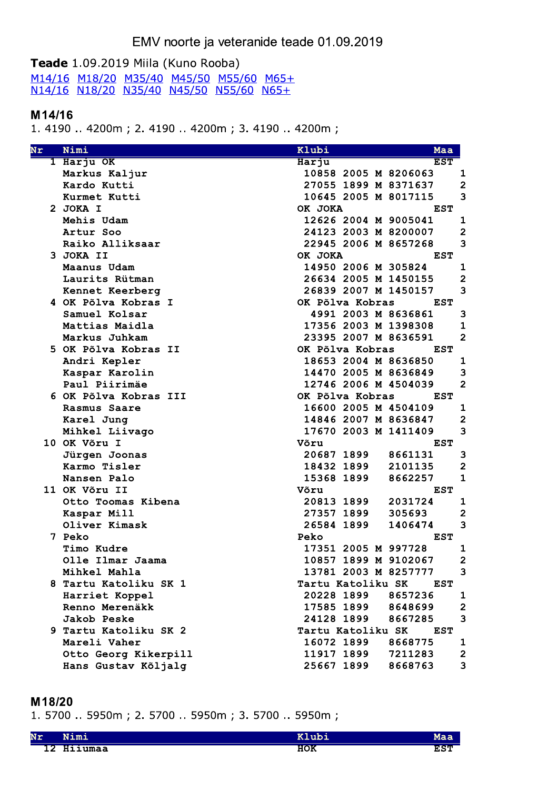# EMV noorte ja veteranide teade 01.09.2019

## Teade 1.09.2019 Miila (Kuno Rooba)

M14/16 M18/20 M35/40 M45/50 M55/60 M65+<br>N14/16 N18/20 N35/40 N45/50 N55/60 N65+

#### M14/16

1.4190 ..4200m; 2.4190 ..4200m; 3.4190 ..4200m;

| Nr | Nimi                  | Klubi                | Maa                                |
|----|-----------------------|----------------------|------------------------------------|
|    | 1 Harju OK            | Harju                | <b>EST</b>                         |
|    | Markus Kaljur         | 10858 2005 M 8206063 | 1                                  |
|    | Kardo Kutti           | 27055 1899 M 8371637 | $\overline{2}$                     |
|    | Kurmet Kutti          | 10645 2005 M 8017115 | 3                                  |
|    | 2 JOKA I              | OK JOKA              | <b>EST</b>                         |
|    | Mehis Udam            | 12626 2004 M 9005041 | $\mathbf 1$                        |
|    | Artur Soo             | 24123 2003 M 8200007 | $\overline{\mathbf{2}}$            |
|    | Raiko Alliksaar       | 22945 2006 M 8657268 | 3                                  |
|    | 3 JOKA II             | OK JOKA              | <b>EST</b>                         |
|    | Maanus Udam           | 14950 2006 M 305824  | $\mathbf 1$                        |
|    | Laurits Rütman        | 26634 2005 M 1450155 | $\overline{\mathbf{2}}$            |
|    | Kennet Keerberg       | 26839 2007 M 1450157 | 3                                  |
|    | 4 OK Põlva Kobras I   | OK Põlva Kobras      | <b>EST</b>                         |
|    | Samuel Kolsar         | 4991 2003 M 8636861  | 3                                  |
|    | Mattias Maidla        | 17356 2003 M 1398308 | $\mathbf 1$                        |
|    | Markus Juhkam         | 23395 2007 M 8636591 | $\overline{2}$                     |
|    | 5 OK Põlva Kobras II  | OK Põlva Kobras      | <b>EST</b>                         |
|    | Andri Kepler          | 18653 2004 M 8636850 | $\mathbf{1}$                       |
|    | Kaspar Karolin        | 14470 2005 M 8636849 | 3                                  |
|    | Paul Piirimäe         | 12746 2006 M 4504039 | $\overline{2}$                     |
|    | 6 OK Põlva Kobras III | OK Põlva Kobras      | <b>EST</b>                         |
|    | Rasmus Saare          | 16600 2005 M 4504109 | $\mathbf 1$                        |
|    | Karel Jung            | 14846 2007 M 8636847 | $\overline{\mathbf{c}}$            |
|    | Mihkel Liivago        | 17670 2003 M 1411409 | 3                                  |
|    | 10 OK Võru I          | Võru                 | <b>EST</b>                         |
|    | Jürgen Joonas         | 20687 1899           | 3<br>8661131                       |
|    | Karmo Tisler          | 18432 1899           | $\overline{\mathbf{c}}$<br>2101135 |
|    | Nansen Palo           | 15368 1899           | $\mathbf{1}$<br>8662257            |
|    | 11 OK Võru II         | Võru                 | <b>EST</b>                         |
|    | Otto Toomas Kibena    | 20813 1899           | 2031724<br>1                       |
|    | Kaspar Mill           | 27357 1899           | $\overline{\mathbf{c}}$<br>305693  |
|    | Oliver Kimask         | 26584 1899           | 3<br>1406474                       |
|    | 7 Peko                | Peko                 | <b>EST</b>                         |
|    | Timo Kudre            | 17351 2005 M 997728  | 1                                  |
|    | Olle Ilmar Jaama      | 10857 1899 M 9102067 | $\overline{2}$                     |
|    | Mihkel Mahla          | 13781 2003 M 8257777 | 3                                  |
|    | 8 Tartu Katoliku SK 1 | Tartu Katoliku SK    | EST                                |
|    | Harriet Koppel        | 20228 1899           | 8657236<br>1                       |
|    | Renno Merenäkk        | 17585 1899           | $\overline{\mathbf{c}}$<br>8648699 |
|    | Jakob Peske           | 24128 1899           | 3<br>8667285                       |
|    | 9 Tartu Katoliku SK 2 | Tartu Katoliku SK    | <b>EST</b>                         |
|    | Mareli Vaher          | 16072 1899           | 8668775<br>1                       |
|    | Otto Georg Kikerpill  | 11917 1899           | 7211283<br>$\mathbf{2}$            |
|    | Hans Gustav Kõljalg   | 25667 1899           | 3<br>8668763                       |

#### M18/20

1. 5700 .. 5950m; 2. 5700 .. 5950m; 3. 5700 .. 5950m;

| Nr       | $- -$<br>Nimi | 11 h |                    |
|----------|---------------|------|--------------------|
| מי<br>∸∠ | Hiiumaa       | HOK  | <u>n om</u><br>≞っ⊥ |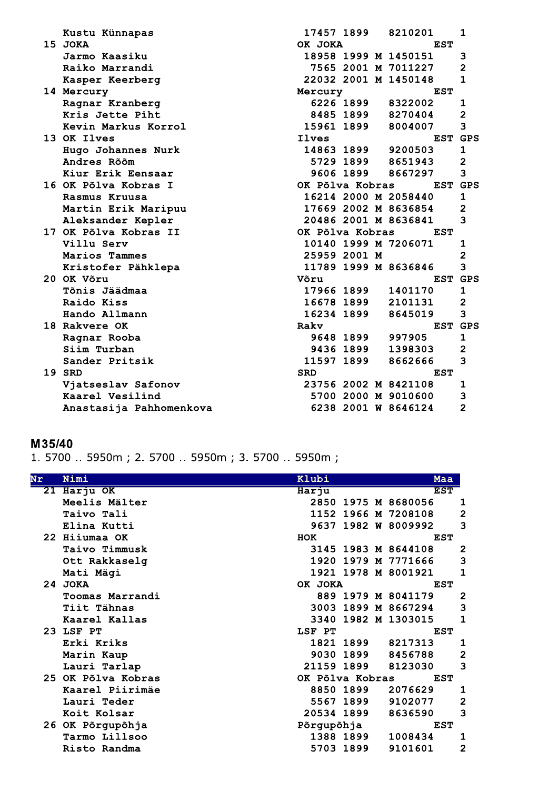| Kustu Künnapas          | 17457 1899      |           | 8210201              |            | 1                       |
|-------------------------|-----------------|-----------|----------------------|------------|-------------------------|
| 15 JOKA                 | OK JOKA         |           |                      | <b>EST</b> |                         |
| Jarmo Kaasiku           |                 |           | 18958 1999 M 1450151 |            | 3                       |
| Raiko Marrandi          |                 |           | 7565 2001 M 7011227  |            | $\overline{2}$          |
| Kasper Keerberg         |                 |           | 22032 2001 M 1450148 |            | 1                       |
| 14 Mercury              | Mercury         |           |                      | <b>EST</b> |                         |
| Ragnar Kranberg         |                 | 6226 1899 | 8322002              |            | 1                       |
| Kris Jette Piht         |                 |           | 8485 1899 8270404    |            | $\overline{2}$          |
| Kevin Markus Korrol     | 15961 1899      |           | 8004007              |            | 3                       |
| 13 OK Ilves             | Ilves           |           |                      |            | EST GPS                 |
| Hugo Johannes Nurk      | 14863 1899      |           | 9200503              |            | $\mathbf 1$             |
| Andres Rõõm             |                 | 5729 1899 | 8651943              |            | $\overline{\mathbf{c}}$ |
| Kiur Erik Eensaar       |                 | 9606 1899 | 8667297              |            | 3                       |
| 16 OK Põlva Kobras I    | OK Põlva Kobras |           |                      |            | EST GPS                 |
| Rasmus Kruusa           |                 |           | 16214 2000 M 2058440 |            | $\mathbf 1$             |
| Martin Erik Maripuu     |                 |           | 17669 2002 M 8636854 |            | $\overline{\mathbf{c}}$ |
| Aleksander Kepler       |                 |           | 20486 2001 M 8636841 |            | 3                       |
| 17 OK Põlva Kobras II   | OK Põlva Kobras |           | <b>EST</b>           |            |                         |
| Villu Serv              |                 |           | 10140 1999 M 7206071 |            | 1                       |
| Marios Tammes           | 25959 2001 M    |           |                      |            | $\overline{2}$          |
| Kristofer Pähklepa      |                 |           | 11789 1999 M 8636846 |            | 3                       |
| 20 OK Võru              | Võru            |           |                      |            | EST GPS                 |
| Tõnis Jäädmaa           | 17966 1899      |           | 1401170              |            | 1                       |
| Raido Kiss              | 16678 1899      |           | 2101131              |            | $\overline{\mathbf{c}}$ |
| Hando Allmann           | 16234 1899      |           | 8645019              |            | 3                       |
| 18 Rakvere OK           | Rakv            |           |                      |            | EST GPS                 |
| Ragnar Rooba            |                 | 9648 1899 | 997905               |            | 1                       |
| Siim Turban             |                 | 9436 1899 | 1398303              |            | $\overline{2}$          |
| Sander Pritsik          | 11597 1899      |           | 8662666              |            | 3                       |
| 19 SRD                  | <b>SRD</b>      |           |                      | <b>EST</b> |                         |
| Vjatseslav Safonov      |                 |           | 23756 2002 M 8421108 |            | 1                       |
| Kaarel Vesilind         |                 |           | 5700 2000 M 9010600  |            | 3                       |
| Anastasija Pahhomenkova |                 |           | 6238 2001 W 8646124  |            | $\overline{2}$          |
|                         |                 |           |                      |            |                         |

# M35/40

1. 5700 .. 5950m; 2. 5700 .. 5950m; 3. 5700 .. 5950m;

| 21 Harju OK<br><b>EST</b><br>Harju<br>Meelis Mälter<br>2850<br>1975 M 8680056<br>1966 M 7208108<br>Taivo Tali<br>1152<br>9637<br>1982 W 8009992<br>Elina Kutti<br>22 Hiiumaa OK<br><b>HOK</b><br><b>EST</b><br>3145 1983 M 8644108<br>Taivo Timmusk<br>1920 1979 M 7771666<br>Ott Rakkaselg<br>1921 1978 M 8001921<br>Mati Mägi<br>24 JOKA<br>OK JOKA<br><b>EST</b><br>889 1979 M 8041179<br>Toomas Marrandi<br>3003<br>1899 M 8667294<br>Tiit Tähnas<br>3340 1982 M 1303015<br>Kaarel Kallas<br>23 LSF PT<br>LSF PT<br><b>EST</b><br>Erki Kriks<br>1821 1899<br>8217313<br>9030 1899<br>8456788<br>Marin Kaup<br>21159 1899<br>8123030<br>Lauri Tarlap<br>25 OK Põlva Kobras<br>OK Põlva Kobras<br><b>EST</b><br>8850 1899<br>2076629<br>Kaarel Piirimäe<br>5567 1899<br>9102077<br>Lauri Teder<br>8636590<br>20534 1899<br>Koit Kolsar<br>26 OK Põrgupõhja<br>Põrgupõhja<br><b>EST</b> | Nr | Nimi          | Klubi |  | Maa     |                         |
|------------------------------------------------------------------------------------------------------------------------------------------------------------------------------------------------------------------------------------------------------------------------------------------------------------------------------------------------------------------------------------------------------------------------------------------------------------------------------------------------------------------------------------------------------------------------------------------------------------------------------------------------------------------------------------------------------------------------------------------------------------------------------------------------------------------------------------------------------------------------------------------|----|---------------|-------|--|---------|-------------------------|
|                                                                                                                                                                                                                                                                                                                                                                                                                                                                                                                                                                                                                                                                                                                                                                                                                                                                                          |    |               |       |  |         |                         |
|                                                                                                                                                                                                                                                                                                                                                                                                                                                                                                                                                                                                                                                                                                                                                                                                                                                                                          |    |               |       |  |         | 1                       |
|                                                                                                                                                                                                                                                                                                                                                                                                                                                                                                                                                                                                                                                                                                                                                                                                                                                                                          |    |               |       |  |         | $\overline{\mathbf{c}}$ |
|                                                                                                                                                                                                                                                                                                                                                                                                                                                                                                                                                                                                                                                                                                                                                                                                                                                                                          |    |               |       |  |         | 3                       |
|                                                                                                                                                                                                                                                                                                                                                                                                                                                                                                                                                                                                                                                                                                                                                                                                                                                                                          |    |               |       |  |         |                         |
|                                                                                                                                                                                                                                                                                                                                                                                                                                                                                                                                                                                                                                                                                                                                                                                                                                                                                          |    |               |       |  |         | 2                       |
|                                                                                                                                                                                                                                                                                                                                                                                                                                                                                                                                                                                                                                                                                                                                                                                                                                                                                          |    |               |       |  |         | 3                       |
|                                                                                                                                                                                                                                                                                                                                                                                                                                                                                                                                                                                                                                                                                                                                                                                                                                                                                          |    |               |       |  |         | 1                       |
|                                                                                                                                                                                                                                                                                                                                                                                                                                                                                                                                                                                                                                                                                                                                                                                                                                                                                          |    |               |       |  |         |                         |
|                                                                                                                                                                                                                                                                                                                                                                                                                                                                                                                                                                                                                                                                                                                                                                                                                                                                                          |    |               |       |  |         | $\overline{\mathbf{c}}$ |
|                                                                                                                                                                                                                                                                                                                                                                                                                                                                                                                                                                                                                                                                                                                                                                                                                                                                                          |    |               |       |  |         | 3                       |
|                                                                                                                                                                                                                                                                                                                                                                                                                                                                                                                                                                                                                                                                                                                                                                                                                                                                                          |    |               |       |  |         | 1                       |
|                                                                                                                                                                                                                                                                                                                                                                                                                                                                                                                                                                                                                                                                                                                                                                                                                                                                                          |    |               |       |  |         |                         |
|                                                                                                                                                                                                                                                                                                                                                                                                                                                                                                                                                                                                                                                                                                                                                                                                                                                                                          |    |               |       |  |         | $\mathbf{1}$            |
|                                                                                                                                                                                                                                                                                                                                                                                                                                                                                                                                                                                                                                                                                                                                                                                                                                                                                          |    |               |       |  |         | $\overline{\mathbf{c}}$ |
|                                                                                                                                                                                                                                                                                                                                                                                                                                                                                                                                                                                                                                                                                                                                                                                                                                                                                          |    |               |       |  |         | 3                       |
|                                                                                                                                                                                                                                                                                                                                                                                                                                                                                                                                                                                                                                                                                                                                                                                                                                                                                          |    |               |       |  |         |                         |
|                                                                                                                                                                                                                                                                                                                                                                                                                                                                                                                                                                                                                                                                                                                                                                                                                                                                                          |    |               |       |  |         | 1                       |
|                                                                                                                                                                                                                                                                                                                                                                                                                                                                                                                                                                                                                                                                                                                                                                                                                                                                                          |    |               |       |  |         | $\overline{\mathbf{2}}$ |
|                                                                                                                                                                                                                                                                                                                                                                                                                                                                                                                                                                                                                                                                                                                                                                                                                                                                                          |    |               |       |  |         | 3                       |
|                                                                                                                                                                                                                                                                                                                                                                                                                                                                                                                                                                                                                                                                                                                                                                                                                                                                                          |    |               |       |  |         |                         |
| 1388 1899                                                                                                                                                                                                                                                                                                                                                                                                                                                                                                                                                                                                                                                                                                                                                                                                                                                                                |    | Tarmo Lillsoo |       |  | 1008434 | 1                       |
| 9101601<br>5703 1899<br>Risto Randma                                                                                                                                                                                                                                                                                                                                                                                                                                                                                                                                                                                                                                                                                                                                                                                                                                                     |    |               |       |  |         | $\overline{2}$          |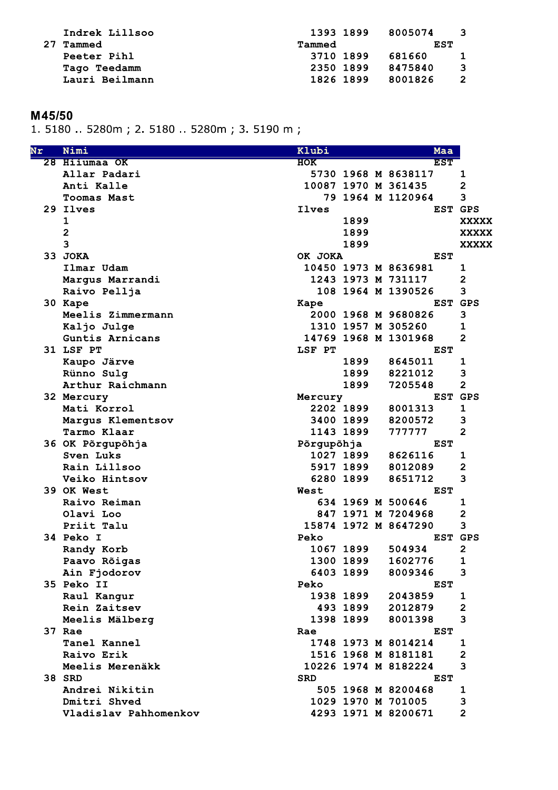| Indrek Lillsoo     | 1393 1899 | 8005074 | - 3 |
|--------------------|-----------|---------|-----|
| 27 Tammed          | Tammed    | EST     |     |
| <b>Peeter Pihl</b> | 3710 1899 | 681660  | -1  |
| Tago Teedamm       | 2350 1899 | 8475840 | - 3 |
| Lauri Beilmann     | 1826 1899 | 8001826 | -2  |
|                    |           |         |     |

# M45/50

1. 5180 .. 5280m; 2. 5180 .. 5280m; 3. 5190 m;

| Nr | Nimi                  | Klubi      |           | Maa                  |                         |
|----|-----------------------|------------|-----------|----------------------|-------------------------|
|    | 28 Hiiumaa OK         | <b>HOK</b> |           | <b>EST</b>           |                         |
|    | Allar Padari          |            |           | 5730 1968 M 8638117  | 1                       |
|    | Anti Kalle            |            |           | 10087 1970 M 361435  | $\overline{\mathbf{c}}$ |
|    | <b>Toomas Mast</b>    |            |           | 79 1964 M 1120964    | 3                       |
|    | 29 Ilves              | Ilves      |           |                      | EST GPS                 |
|    | 1                     |            | 1899      |                      | <b>XXXXX</b>            |
|    | $\mathbf{2}$          |            | 1899      |                      | <b>XXXXX</b>            |
|    | 3                     |            | 1899      |                      | <b>XXXXX</b>            |
|    | 33 JOKA               | OK JOKA    |           | <b>EST</b>           |                         |
|    | Ilmar Udam            |            |           | 10450 1973 M 8636981 | 1                       |
|    | Margus Marrandi       |            |           | 1243 1973 M 731117   | 2                       |
|    | Raivo Pellja          |            |           | 108 1964 M 1390526   | 3                       |
|    | 30 Kape               | Kape       |           | <b>EST</b>           | GPS                     |
|    | Meelis Zimmermann     |            |           | 2000 1968 M 9680826  | 3                       |
|    | Kaljo Julge           |            |           | 1310 1957 M 305260   | 1                       |
|    | Guntis Arnicans       |            |           | 14769 1968 M 1301968 | 2                       |
|    | 31 LSF PT             | LSF PT     |           | <b>EST</b>           |                         |
|    | Kaupo Järve           |            | 1899      | 8645011              | 1                       |
|    | Rünno Sulq            |            | 1899      | 8221012              | 3                       |
|    | Arthur Raichmann      |            | 1899      | 7205548              | $\overline{2}$          |
|    | 32 Mercury            | Mercury    |           |                      | EST GPS                 |
|    | Mati Korrol           |            | 2202 1899 | 8001313              | $\mathbf 1$             |
|    | Margus Klementsov     |            | 3400 1899 | 8200572              | З                       |
|    | Tarmo Klaar           |            | 1143 1899 | 777777               | $\overline{2}$          |
|    | 36 OK Põrgupõhja      | Põrgupõhja |           | <b>EST</b>           |                         |
|    | Sven Luks             |            | 1027 1899 | 8626116              | 1                       |
|    | Rain Lillsoo          |            | 5917 1899 | 8012089              | 2                       |
|    | Veiko Hintsov         |            | 6280 1899 | 8651712              | 3                       |
|    | 39 OK West            | West       |           | <b>EST</b>           |                         |
|    | Raivo Reiman          |            |           | 634 1969 M 500646    | 1                       |
|    | Olavi Loo             |            |           | 847 1971 M 7204968   | 2                       |
|    | Priit Talu            |            |           | 15874 1972 M 8647290 | 3                       |
|    | 34 Peko I             | Peko       |           | EST                  | <b>GPS</b>              |
|    | Randy Korb            |            | 1067 1899 | 504934               | 2                       |
|    | Paavo Rõigas          |            | 1300 1899 | 1602776              | 1                       |
|    | Ain Fjodorov          |            | 6403 1899 | 8009346              | 3                       |
|    | 35 Peko II            | Peko       |           | <b>EST</b>           |                         |
|    | Raul Kangur           |            | 1938 1899 | 2043859              | 1                       |
|    | Rein Zaitsev          |            | 493 1899  | 2012879              | $\overline{\mathbf{c}}$ |
|    | Meelis Mälberg        |            | 1398 1899 | 8001398              | 3                       |
|    | 37 Rae                | Rae        |           | <b>EST</b>           |                         |
|    | Tanel Kannel          |            |           | 1748 1973 M 8014214  | 1                       |
|    | Raivo Erik            |            |           | 1516 1968 M 8181181  | 2                       |
|    | Meelis Merenäkk       |            |           | 10226 1974 M 8182224 | 3                       |
|    | 38 SRD                | <b>SRD</b> |           | <b>EST</b>           |                         |
|    | Andrei Nikitin        |            |           | 505 1968 M 8200468   | 1                       |
|    | Dmitri Shved          |            |           | 1029 1970 M 701005   | 3                       |
|    | Vladislav Pahhomenkov |            |           | 4293 1971 M 8200671  | $\overline{2}$          |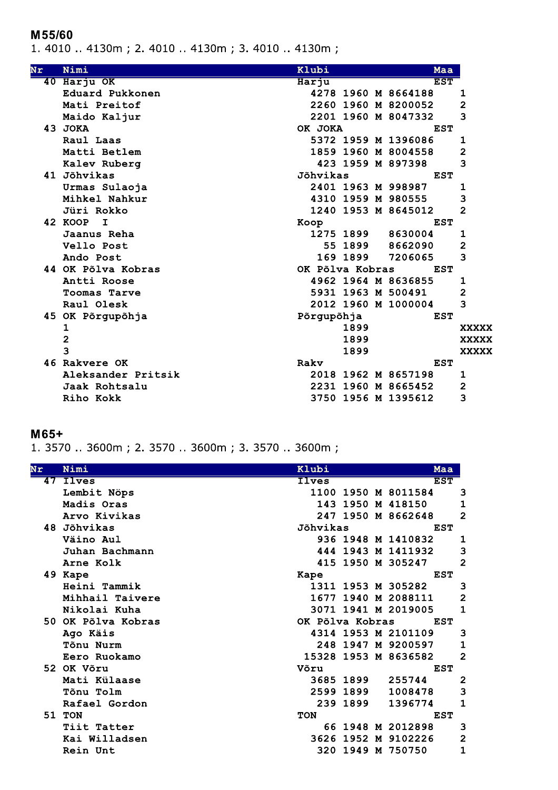#### M55/60

1. 4010 .. 4130m; 2. 4010 .. 4130m; 3. 4010 .. 4130m;

| Nr       | Nimi                    | Klubi           |          | Maa                 |                         |
|----------|-------------------------|-----------------|----------|---------------------|-------------------------|
| $40^{-}$ | Harju OK                | Harju           |          | <b>EST</b>          |                         |
|          | Eduard Pukkonen         |                 |          | 4278 1960 M 8664188 | 1                       |
|          | Mati Preitof            |                 |          | 2260 1960 M 8200052 | 2                       |
|          | Maido Kaljur            |                 |          | 2201 1960 M 8047332 | 3                       |
|          | 43 JOKA                 | OK JOKA         |          | <b>EST</b>          |                         |
|          | Raul Laas               |                 |          | 5372 1959 M 1396086 | 1                       |
|          | Matti Betlem            |                 |          | 1859 1960 M 8004558 | 2                       |
|          | Kalev Ruberg            |                 |          | 423 1959 M 897398   | 3                       |
|          | 41 Jõhvikas             | Jõhvikas        |          | <b>EST</b>          |                         |
|          | Urmas Sulaoja           |                 |          | 2401 1963 M 998987  | 1                       |
|          | Mihkel Nahkur           |                 |          | 4310 1959 M 980555  | 3                       |
|          | Jüri Rokko              |                 |          | 1240 1953 M 8645012 | $\overline{2}$          |
|          | 42 KOOP<br>$\mathbf{I}$ | Koop            |          | EST                 |                         |
|          | Jaanus Reha             | 1275 1899       |          | 8630004             | 1                       |
|          | Vello Post              |                 | 55 1899  | 8662090             | $\overline{\mathbf{c}}$ |
|          | Ando Post               |                 | 169 1899 | 7206065             | 3                       |
|          | 44 OK Põlva Kobras      | OK Põlva Kobras |          | <b>EST</b>          |                         |
|          | Antti Roose             |                 |          | 4962 1964 M 8636855 | 1                       |
|          | Toomas Tarve            |                 |          | 5931 1963 M 500491  | $\overline{2}$          |
|          | Raul Olesk              |                 |          | 2012 1960 M 1000004 | 3                       |
| 45       | OK Põrgupõhja           | Põrgupõhja      |          | <b>EST</b>          |                         |
|          | 1                       |                 | 1899     |                     | <b>XXXXX</b>            |
|          | $\overline{\mathbf{c}}$ |                 | 1899     |                     | <b>XXXXX</b>            |
|          | 3                       |                 | 1899     |                     | <b>XXXXX</b>            |
|          | 46 Rakvere OK           | Rakv            |          | <b>EST</b>          |                         |
|          | Aleksander Pritsik      |                 |          | 2018 1962 M 8657198 | 1                       |
|          | Jaak Rohtsalu           |                 |          | 2231 1960 M 8665452 | 2                       |
|          | Riho Kokk               |                 |          | 3750 1956 M 1395612 | 3                       |

## $M65+$

1. 3570 .. 3600m; 2. 3570 .. 3600m; 3. 3570 .. 3600m;

| Nr | Nimi               | Klubi           |             | Maa                  |                         |
|----|--------------------|-----------------|-------------|----------------------|-------------------------|
| 47 | <b>Ilves</b>       | <b>Ilves</b>    |             | <b>EST</b>           |                         |
|    | Lembit Nöps        |                 |             | 1100 1950 M 8011584  | 3                       |
|    | Madis Oras         | 143             |             | 1950 M 418150        | 1                       |
|    | Arvo Kivikas       |                 |             | 247 1950 M 8662648   | $\overline{2}$          |
|    | 48 Jõhvikas        | Jõhvikas        |             | <b>EST</b>           |                         |
|    | Väino Aul          |                 |             | 936 1948 M 1410832   | 1                       |
|    | Juhan Bachmann     | 444             |             | 1943 M 1411932       | 3                       |
|    | Arne Kolk          |                 |             | 415 1950 M 305247    | $\overline{2}$          |
|    | 49 Kape            | Kape            |             | <b>EST</b>           |                         |
|    | Heini Tammik       |                 |             | 1311 1953 M 305282   | 3                       |
|    | Mihhail Taivere    | 1677            |             | 1940 M 2088111       | $\overline{\mathbf{c}}$ |
|    | Nikolai Kuha       |                 |             | 3071 1941 M 2019005  | $\mathbf{1}$            |
|    | 50 OK Põlva Kobras | OK Põlva Kobras |             | <b>EST</b>           |                         |
|    | Ago Käis           |                 |             | 4314 1953 M 2101109  | 3                       |
|    | Tõnu Nurm          | 248             |             | 1947 M 9200597       | $\mathbf{1}$            |
|    | Eero Ruokamo       |                 |             | 15328 1953 M 8636582 | $\overline{2}$          |
|    | 52 OK Võru         | Võru            |             | <b>EST</b>           |                         |
|    | Mati Külaase       |                 | 3685 1899   | 255744               | $\overline{2}$          |
|    | <b>Tõnu Tolm</b>   |                 | 2599 1899   | 1008478              | 3                       |
|    | Rafael Gordon      |                 | 239 1899    | 1396774              | $\mathbf{1}$            |
|    | <b>51 TON</b>      | <b>TON</b>      |             | <b>EST</b>           |                         |
|    | Tiit Tatter        |                 |             | 66 1948 M 2012898    | 3                       |
|    | Kai Willadsen      |                 | 3626 1952 M | 9102226              | $\overline{\mathbf{c}}$ |
|    | Rein Unt           | 320             | 1949 M      | 750750               | $\mathbf{1}$            |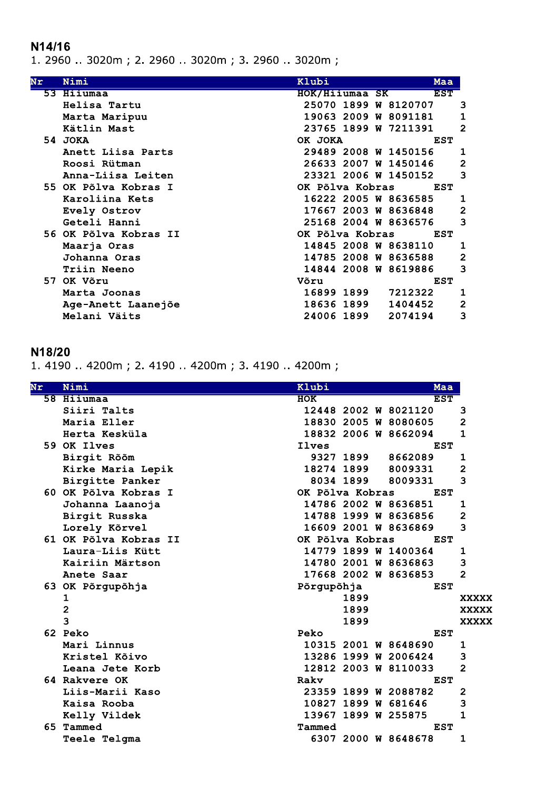## N14/16

1. 2960 .. 3020m; 2. 2960 .. 3020m; 3. 2960 .. 3020m;

| Nr | Nimi                  | Klubi           |  | Maa                  |                |
|----|-----------------------|-----------------|--|----------------------|----------------|
|    | 53 Hiiumaa            | HOK/Hiiumaa SK  |  | <b>EST</b>           |                |
|    | Helisa Tartu          |                 |  | 25070 1899 W 8120707 | з              |
|    | Marta Maripuu         |                 |  | 19063 2009 W 8091181 | 1              |
|    | Kätlin Mast           |                 |  | 23765 1899 W 7211391 | 2              |
|    | 54 JOKA               | OK JOKA         |  | <b>EST</b>           |                |
|    | Anett Liisa Parts     |                 |  | 29489 2008 W 1450156 | 1              |
|    | Roosi Rütman          |                 |  | 26633 2007 W 1450146 | 2              |
|    | Anna-Liisa Leiten     |                 |  | 23321 2006 W 1450152 | з              |
|    | 55 OK Põlva Kobras I  | OK Põlva Kobras |  | <b>EST</b>           |                |
|    | Karoliina Kets        |                 |  | 16222 2005 W 8636585 | 1              |
|    | Evely Ostrov          |                 |  | 17667 2003 W 8636848 | $\overline{a}$ |
|    | Geteli Hanni          |                 |  | 25168 2004 W 8636576 | З              |
|    | 56 OK Põlva Kobras II | OK Põlva Kobras |  | EST                  |                |
|    | Maarja Oras           |                 |  | 14845 2008 W 8638110 | 1              |
|    | Johanna Oras          |                 |  | 14785 2008 W 8636588 | $\overline{a}$ |
|    | Triin Neeno           |                 |  | 14844 2008 W 8619886 | з              |
|    | 57 OK Võru            | Võru            |  | EST                  |                |
|    | Marta Joonas          | 16899 1899      |  | 7212322              | 1              |
|    | Age-Anett Laanejõe    | 18636 1899      |  | 1404452              | $\overline{a}$ |
|    | Melani Väits          | 24006 1899      |  | 2074194              | 3              |

## N18/20

1.4190 ..4200m; 2.4190 ..4200m; 3.4190 ..4200m;

| Nr | Nimi                  | Klubi           |           | Maa                  |                |
|----|-----------------------|-----------------|-----------|----------------------|----------------|
|    | 58 Hiiumaa            | <b>HOK</b>      |           | <b>EST</b>           |                |
|    | Siiri Talts           |                 |           | 12448 2002 W 8021120 | з              |
|    | Maria Eller           |                 |           | 18830 2005 W 8080605 | 2              |
|    | Herta Kesküla         |                 |           | 18832 2006 W 8662094 | $\overline{1}$ |
|    | 59 OK Ilves           | Ilves           |           | <b>EST</b>           |                |
|    | Birgit Rõõm           |                 | 9327 1899 | 8662089              | 1              |
|    | Kirke Maria Lepik     | 18274 1899      |           | 8009331              | 2              |
|    | Birgitte Panker       |                 | 8034 1899 | 8009331              | 3              |
|    | 60 OK Põlva Kobras I  | OK Põlva Kobras |           | <b>EST</b>           |                |
|    | Johanna Laanoja       |                 |           | 14786 2002 W 8636851 | 1              |
|    | Birgit Russka         |                 |           | 14788 1999 W 8636856 | 2              |
|    | Lorely Kõrvel         |                 |           | 16609 2001 W 8636869 | 3              |
|    | 61 OK Põlva Kobras II | OK Põlva Kobras |           | <b>EST</b>           |                |
|    | Laura-Liis Kütt       |                 |           | 14779 1899 W 1400364 | 1              |
|    | Kairiin Märtson       |                 |           | 14780 2001 W 8636863 | 3              |
|    | Anete Saar            |                 |           | 17668 2002 W 8636853 | $\overline{2}$ |
|    | 63 OK Põrgupõhja      | Põrgupõhja      |           | <b>EST</b>           |                |
|    | 1                     |                 | 1899      |                      | <b>XXXXX</b>   |
|    | $\overline{2}$        |                 | 1899      |                      | <b>XXXXX</b>   |
|    | 3                     |                 | 1899      |                      | <b>XXXXX</b>   |
|    | 62 Peko               | Peko            |           | <b>EST</b>           |                |
|    | Mari Linnus           |                 |           | 10315 2001 W 8648690 | 1              |
|    | Kristel Kõivo         |                 |           | 13286 1999 W 2006424 | 3              |
|    | Leana Jete Korb       |                 |           | 12812 2003 W 8110033 | 2              |
|    | 64 Rakvere OK         | Raky            |           | <b>EST</b>           |                |
|    | Liis-Marii Kaso       |                 |           | 23359 1899 W 2088782 | 2              |
|    | Kaisa Rooba           |                 |           | 10827 1899 W 681646  | 3              |
|    | Kelly Vildek          |                 |           | 13967 1899 W 255875  | 1              |
| 65 | Tammed                | Tammed          |           | <b>EST</b>           |                |
|    | Teele Telgma          |                 |           | 6307 2000 W 8648678  | 1              |
|    |                       |                 |           |                      |                |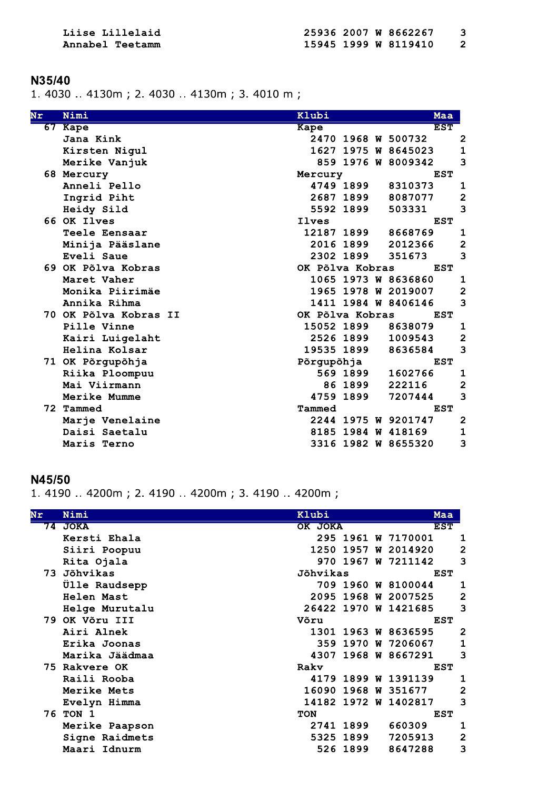Liise Lillelaid Annabel Teetamm

#### N35/40

1.4030 ..4130m; 2.4030 ..4130m; 3.4010 m;

| Nr | Nimi                  | Klubi               | Maa                                |
|----|-----------------------|---------------------|------------------------------------|
| 67 | Kape                  | Kape                | <b>EST</b>                         |
|    | Jana Kink             | 2470 1968 W 500732  | $\overline{\mathbf{c}}$            |
|    | Kirsten Nigul         | 1627 1975 W 8645023 | $\mathbf{1}$                       |
|    | Merike Vanjuk         | 859 1976 W 8009342  | 3                                  |
|    | 68 Mercury            | Mercury             | <b>EST</b>                         |
|    | Anneli Pello          | 4749 1899           | 8310373<br>1                       |
|    | Ingrid Piht           | 2687 1899           | $\overline{\mathbf{c}}$<br>8087077 |
|    | Heidy Sild            | 5592 1899           | 3<br>503331                        |
|    | 66 OK Ilves           | Ilves               | <b>EST</b>                         |
|    | Teele Eensaar         | 12187 1899          | 8668769<br>1                       |
|    | Minija Pääslane       | 2016 1899           | $\overline{\mathbf{c}}$<br>2012366 |
|    | Eveli Saue            | 2302 1899           | 3<br>351673                        |
|    | 69 OK Põlva Kobras    | OK Põlva Kobras     | <b>EST</b>                         |
|    | Maret Vaher           | 1065 1973 W 8636860 | 1                                  |
|    | Monika Piirimäe       | 1965 1978 W 2019007 | $\overline{2}$                     |
|    | Annika Rihma          | 1411 1984 W 8406146 | 3                                  |
|    | 70 OK Põlva Kobras II | OK Põlva Kobras     | <b>EST</b>                         |
|    | Pille Vinne           | 15052 1899          | 8638079<br>$\mathbf 1$             |
|    | Kairi Luigelaht       | 2526 1899           | $\overline{\mathbf{c}}$<br>1009543 |
|    | Helina Kolsar         | 19535 1899          | 3<br>8636584                       |
|    | 71 OK Põrgupõhja      | Põrgupõhja          | <b>EST</b>                         |
|    | Riika Ploompuu        | 569 1899            | 1602766<br>1                       |
|    | Mai Viirmann          | 86 1899             | $\overline{\mathbf{2}}$<br>222116  |
|    | Merike Mumme          | 4759 1899           | 3<br>7207444                       |
|    | 72 Tammed             | Tammed              | <b>EST</b>                         |
|    | Marje Venelaine       | 2244 1975 W 9201747 | $\overline{\mathbf{c}}$            |
|    | Daisi Saetalu         | 8185 1984 W 418169  | 1                                  |
|    | Maris Terno           | 3316 1982 W 8655320 | 3                                  |

#### N45/50

1. 4190 .. 4200m; 2. 4190 .. 4200m; 3. 4190 .. 4200m;

| Nimi           | Klubi                                                      |   |                  |                                                                                                                                                                                                                                           |
|----------------|------------------------------------------------------------|---|------------------|-------------------------------------------------------------------------------------------------------------------------------------------------------------------------------------------------------------------------------------------|
| <b>JOKA</b>    | OK JOKA                                                    |   |                  |                                                                                                                                                                                                                                           |
| Kersti Ehala   |                                                            |   |                  | 1                                                                                                                                                                                                                                         |
| Siiri Poopuu   | 1250<br>1957                                               | W | 2014920          | $\overline{2}$                                                                                                                                                                                                                            |
| Rita Ojala     | 1967<br>970                                                |   | 7211142          | з                                                                                                                                                                                                                                         |
|                | Jõhvikas                                                   |   |                  |                                                                                                                                                                                                                                           |
| Ülle Raudsepp  |                                                            |   |                  | 1                                                                                                                                                                                                                                         |
| Helen Mast     | 2095                                                       |   |                  | $\overline{2}$                                                                                                                                                                                                                            |
| Helge Murutalu |                                                            |   |                  | 3                                                                                                                                                                                                                                         |
|                | Võru                                                       |   |                  |                                                                                                                                                                                                                                           |
| Airi Alnek     |                                                            |   |                  | $\mathbf 2$                                                                                                                                                                                                                               |
| Erika Joonas   | 359<br>1970                                                |   | 7206067          | $\mathbf{1}$                                                                                                                                                                                                                              |
| Marika Jäädmaa | 4307                                                       |   |                  | 3                                                                                                                                                                                                                                         |
|                | Rakv                                                       |   |                  |                                                                                                                                                                                                                                           |
| Raili Rooba    |                                                            |   |                  | 1                                                                                                                                                                                                                                         |
| Merike Mets    | 16090                                                      |   | 351677           | $\overline{2}$                                                                                                                                                                                                                            |
| Evelyn Himma   | 14182                                                      |   | 1402817          | 3                                                                                                                                                                                                                                         |
|                | <b>TON</b>                                                 |   |                  |                                                                                                                                                                                                                                           |
| Merike Paapson | 2741 1899                                                  |   | 660309           | 1                                                                                                                                                                                                                                         |
| Signe Raidmets | 5325 1899                                                  |   | 7205913          | $\overline{\mathbf{c}}$                                                                                                                                                                                                                   |
| Maari Idnurm   | 526 1899                                                   |   | 8647288          | 3                                                                                                                                                                                                                                         |
|                | 73 Jõhvikas<br>79 OK Võru III<br>75 Rakvere OK<br>76 TON 1 |   | 1968 W<br>1972 W | Maa<br><b>EST</b><br>295 1961 W 7170001<br>W<br><b>EST</b><br>709 1960 W 8100044<br>1968 W 2007525<br>26422 1970 W 1421685<br><b>EST</b><br>1301 1963 W 8636595<br>W<br>1968 W 8667291<br><b>EST</b><br>4179 1899 W 1391139<br><b>EST</b> |